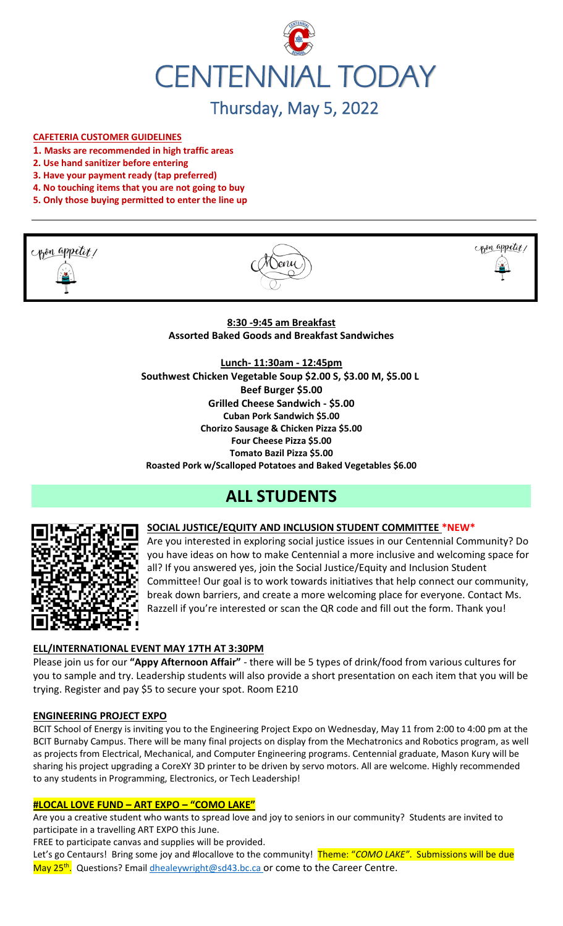

# Thursday, May 5, 2022

## **CAFETERIA CUSTOMER GUIDELINES**

- **1. Masks are recommended in high traffic areas**
- **2. Use hand sanitizer before entering**
- **3. Have your payment ready (tap preferred)**
- **4. No touching items that you are not going to buy**
- **5. Only those buying permitted to enter the line up**







## **8:30 -9:45 am Breakfast Assorted Baked Goods and Breakfast Sandwiches**

**Lunch- 11:30am - 12:45pm Southwest Chicken Vegetable Soup \$2.00 S, \$3.00 M, \$5.00 L Beef Burger \$5.00 Grilled Cheese Sandwich - \$5.00 Cuban Pork Sandwich \$5.00 Chorizo Sausage & Chicken Pizza \$5.00 Four Cheese Pizza \$5.00 Tomato Bazil Pizza \$5.00 Roasted Pork w/Scalloped Potatoes and Baked Vegetables \$6.00**

## **ALL STUDENTS**



**SOCIAL JUSTICE/EQUITY AND INCLUSION STUDENT COMMITTEE \*NEW\*** Are you interested in exploring social justice issues in our Centennial Community? Do you have ideas on how to make Centennial a more inclusive and welcoming space for all? If you answered yes, join the Social Justice/Equity and Inclusion Student Committee! Our goal is to work towards initiatives that help connect our community, break down barriers, and create a more welcoming place for everyone. Contact Ms. Razzell if you're interested or scan the QR code and fill out the form. Thank you!

## **ELL/INTERNATIONAL EVENT MAY 17TH AT 3:30PM**

Please join us for our **"Appy Afternoon Affair"** - there will be 5 types of drink/food from various cultures for you to sample and try. Leadership students will also provide a short presentation on each item that you will be trying. Register and pay \$5 to secure your spot. Room E210

#### **ENGINEERING PROJECT EXPO**

BCIT School of Energy is inviting you to the Engineering Project Expo on Wednesday, May 11 from 2:00 to 4:00 pm at the BCIT Burnaby Campus. There will be many final projects on display from the Mechatronics and Robotics program, as well as projects from Electrical, Mechanical, and Computer Engineering programs. Centennial graduate, Mason Kury will be sharing his project upgrading a CoreXY 3D printer to be driven by servo motors. All are welcome. Highly recommended to any students in Programming, Electronics, or Tech Leadership!

#### **#LOCAL LOVE FUND – ART EXPO – "COMO LAKE"**

Are you a creative student who wants to spread love and joy to seniors in our community? Students are invited to participate in a travelling ART EXPO this June.

FREE to participate canvas and supplies will be provided.

Let's go Centaurs! Bring some joy and #locallove to the community! Theme: "*COMO LAKE"*. Submissions will be due May 25<sup>th</sup>. Questions? Emai[l dhealeywright@sd43.bc.ca](mailto:dhealeywright@sd43.bc.ca) or come to the Career Centre.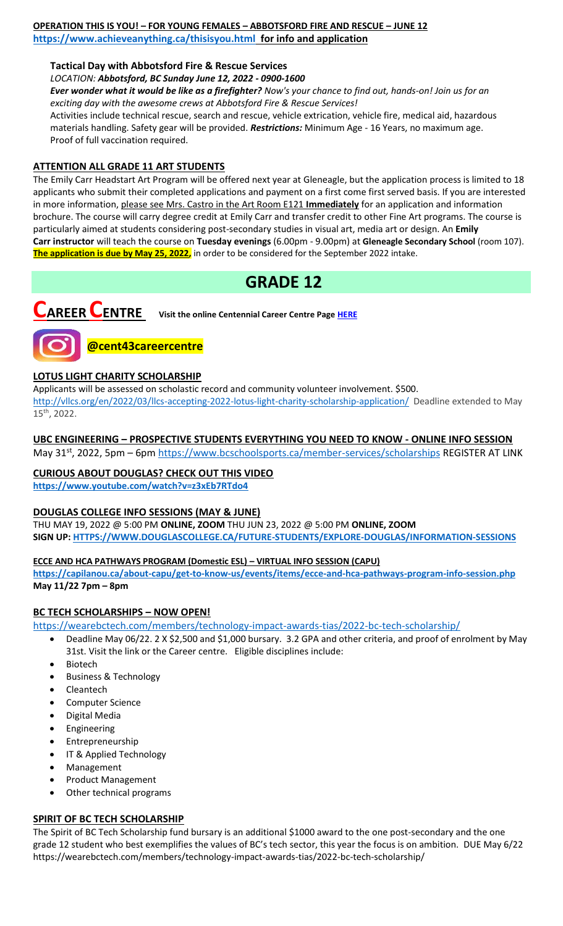#### **OPERATION THIS IS YOU! – FOR YOUNG FEMALES – ABBOTSFORD FIRE AND RESCUE – JUNE 12 <https://www.achieveanything.ca/thisisyou.html> for info and application**

## **Tactical Day with Abbotsford Fire & Rescue Services**

*LOCATION: Abbotsford, BC Sunday June 12, 2022 - 0900-1600*

*Ever wonder what it would be like as a firefighter? Now's your chance to find out, hands-on! Join us for an exciting day with the awesome crews at Abbotsford Fire & Rescue Services!* 

Activities include technical rescue, search and rescue, vehicle extrication, vehicle fire, medical aid, hazardous materials handling. Safety gear will be provided. *Restrictions:* Minimum Age - 16 Years, no maximum age. Proof of full vaccination required.

## **ATTENTION ALL GRADE 11 ART STUDENTS**

The Emily Carr Headstart Art Program will be offered next year at Gleneagle, but the application process is limited to 18 applicants who submit their completed applications and payment on a first come first served basis. If you are interested in more information, please see Mrs. Castro in the Art Room E121 **Immediately** for an application and information brochure. The course will carry degree credit at Emily Carr and transfer credit to other Fine Art programs. The course is particularly aimed at students considering post-secondary studies in visual art, media art or design. An **Emily Carr instructor** will teach the course on **Tuesday evenings** (6.00pm - 9.00pm) at **Gleneagle Secondary School** (room 107). **The application is due by May 25, 2022,** in order to be considered for the September 2022 intake.

## **GRADE 12**



**CAREER CENTRE Visit the online Centennial Career Centre Page [HERE](https://www.sd43.bc.ca/school/centennial/ProgramsServices/CareerCentre/experiences/Pages/default.aspx#/=)**

# **@cent43careercentre**

## **LOTUS LIGHT CHARITY SCHOLARSHIP**

Applicants will be assessed on scholastic record and community volunteer involvement. \$500. <http://vllcs.org/en/2022/03/llcs-accepting-2022-lotus-light-charity-scholarship-application/> Deadline extended to May 15th, 2022.

**UBC ENGINEERING – PROSPECTIVE STUDENTS EVERYTHING YOU NEED TO KNOW - ONLINE INFO SESSION** May 31<sup>st</sup>, 2022, 5pm – 6pm<https://www.bcschoolsports.ca/member-services/scholarships> REGISTER AT LINK

# **CURIOUS ABOUT DOUGLAS? CHECK OUT THIS VIDEO**

**<https://www.youtube.com/watch?v=z3xEb7RTdo4>**

## **DOUGLAS COLLEGE INFO SESSIONS (MAY & JUNE)**

THU MAY 19, 2022 @ 5:00 PM **ONLINE, ZOOM** THU JUN 23, 2022 @ 5:00 PM **ONLINE, ZOOM SIGN UP[: HTTPS://WWW.DOUGLASCOLLEGE.CA/FUTURE-STUDENTS/EXPLORE-DOUGLAS/INFORMATION-SESSIONS](https://www.douglascollege.ca/future-students/explore-douglas/information-sessions)**

## **ECCE AND HCA PATHWAYS PROGRAM (Domestic ESL) – VIRTUAL INFO SESSION (CAPU)**

**<https://capilanou.ca/about-capu/get-to-know-us/events/items/ecce-and-hca-pathways-program-info-session.php> May 11/22 7pm – 8pm**

## **BC TECH SCHOLARSHIPS – NOW OPEN!**

[https://wearebctech.com/members/technology-impact-awards-tias/2022-bc-tech-scholarship/](file://///d00-v02-p01/Shared_Data/076/Staff_Shared/Office/centennial%20today/Centennial%20Today%202021-2022/April%202022/​https:/wearebctech.com/members/technology-impact-awards-tias/2022-bc-tech-scholarship/)

- Deadline May 06/22. 2 X \$2,500 and \$1,000 bursary. 3.2 GPA and other criteria, and proof of enrolment by May 31st. Visit the link or the Career centre. Eligible disciplines include:
- **Biotech**
- Business & Technology
- Cleantech
- Computer Science
- Digital Media
- **Engineering**
- **Entrepreneurship**
- IT & Applied Technology
- **Management**
- Product Management
- Other technical programs

## **SPIRIT OF BC TECH SCHOLARSHIP**

The Spirit of BC Tech Scholarship fund bursary is an additional \$1000 award to the one post-secondary and the one grade 12 student who best exemplifies the values of BC's tech sector, this year the focus is on ambition. DUE May 6/2[2](https://wearebctech.com/members/technology-impact-awards-tias/2022-bc-tech-scholarship/) <https://wearebctech.com/members/technology-impact-awards-tias/2022-bc-tech-scholarship/>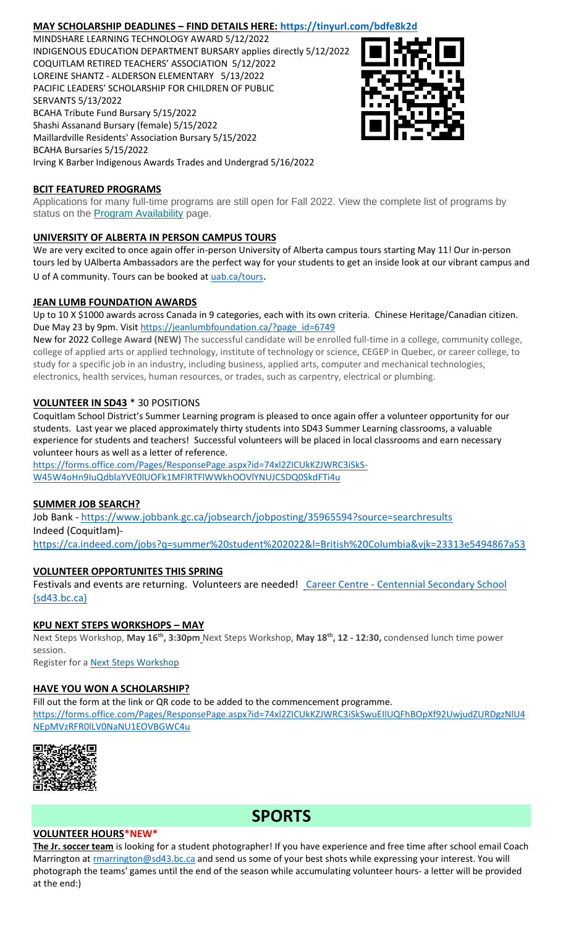## **MAY SCHOLARSHIP DEADLINES – FIND DETAILS HERE:<https://tinyurl.com/bdfe8k2d>**

MINDSHARE LEARNING TECHNOLOGY AWARD 5/12/2022 INDIGENOUS EDUCATION DEPARTMENT BURSARY applies directly 5/12/2022 COQUITLAM RETIRED TEACHERS' ASSOCIATION 5/12/2022 LOREINE SHANTZ - ALDERSON ELEMENTARY 5/13/2022 PACIFIC LEADERS' SCHOLARSHIP FOR CHILDREN OF PUBLIC SERVANTS 5/13/2022 BCAHA Tribute Fund Bursary 5/15/2022 Shashi Assanand Bursary (female) 5/15/2022 Maillardville Residents' Association Bursary 5/15/2022 BCAHA Bursaries 5/15/2022 Irving K Barber Indigenous Awards Trades and Undergrad 5/16/2022



## **BCIT FEATURED PROGRAMS**

Applications for many full-time programs are still open for Fall 2022. View the complete list of programs by status on the **[Program Availability](https://bcit.us8.list-manage.com/track/click?u=daf05330755626307efc8f07f&id=4d4ed36616&e=b29846f095)** page.

## **UNIVERSITY OF ALBERTA IN PERSON CAMPUS TOURS**

We are very excited to once again offer in-person University of Alberta campus tours starting May 11! Our in-person tours led by UAlberta Ambassadors are the perfect way for your students to get an inside look at our vibrant campus and U of A community. Tours can be booked at [uab.ca/tours](https://mx.technolutions.net/ss/c/gsby7xed_Q9kJKoUKuDGdBFBFhSssENYnEfiUuIzPCfFN0X3A85kPAIgyq7RiYgwd5ks3dapUcNxO2ND8vSVBYrkONj16vS1goC-KNmxqyzPGiP84ZPhBolxXehOVvJJoIydTyO79MzKzKWEvLKFkm_yV9EI63wdit-4TgQQwdxB7q-F7wKO6B1l7qPTTQqEY4-sfMYxk0jPxb8_vnjcU8J1KalNzAYWqvZsue4RhUs/3li/fiXawEMdS5CpVDRHZJ_kGA/h1/NOtRtynrGGfbhYYaY88O-aXOwt_ymLOenqdLtTeBrnQ).

## **JEAN LUMB FOUNDATION AWARDS**

Up to 10 X \$1000 awards across Canada in 9 categories, each with its own criteria. Chinese Heritage/Canadian citizen. Due May 23 by 9pm. Visi[t https://jeanlumbfoundation.ca/?page\\_id=6749](https://jeanlumbfoundation.ca/?page_id=6749)

New for 2022 **College Award (NEW)** The successful candidate will be enrolled full-time in a college, community college, college of applied arts or applied technology, institute of technology or science, CEGEP in Quebec, or career college, to study for a specific job in an industry, including business, applied arts, computer and mechanical technologies, electronics, health services, human resources, or trades, such as carpentry, electrical or plumbing.

## **VOLUNTEER IN SD43** \* 30 POSITIONS

Coquitlam School District's Summer Learning program is pleased to once again offer a volunteer opportunity for our students. Last year we placed approximately thirty students into SD43 Summer Learning classrooms, a valuable experience for students and teachers! Successful volunteers will be placed in local classrooms and earn necessary volunteer hours as well as a letter of reference.

[https://forms.office.com/Pages/ResponsePage.aspx?id=74xl2ZICUkKZJWRC3iSkS-](https://forms.office.com/Pages/ResponsePage.aspx?id=74xl2ZICUkKZJWRC3iSkS-W45W4oHn9IuQdblaYVE0lUOFk1MFlRTFlWWkhOOVlYNUJCSDQ0SkdFTi4u)[W45W4oHn9IuQdblaYVE0lUOFk1MFlRTFlWWkhOOVlYNUJCSDQ0SkdFTi4u](https://forms.office.com/Pages/ResponsePage.aspx?id=74xl2ZICUkKZJWRC3iSkS-W45W4oHn9IuQdblaYVE0lUOFk1MFlRTFlWWkhOOVlYNUJCSDQ0SkdFTi4u)

## **SUMMER JOB SEARCH?**

Job Bank - <https://www.jobbank.gc.ca/jobsearch/jobposting/35965594?source=searchresults> Indeed (Coquitlam) <https://ca.indeed.com/jobs?q=summer%20student%202022&l=British%20Columbia&vjk=23313e5494867a53>

## **VOLUNTEER OPPORTUNITES THIS SPRING**

Festivals and events are returning. Volunteers are needed! Career Centre - Centennial Secondary School [\(sd43.bc.ca\)](https://www.sd43.bc.ca/school/centennial/ProgramsServices/CareerCentre/experiences/Pages/default.aspx#/=)

## **KPU NEXT STEPS WORKSHOPS – MAY**

Next Steps Workshop, **May 16th, 3:30pm** Next Steps Workshop, **May 18th, 12 - 12:30,** condensed lunch time power session.

Register for a [Next Steps Workshop](http://crm-link.kpu.ca/c/7/eyJhaSI6MTY0ODQwMjEsImUiOiJkaGVhbGV5d3JpZ2h0QHNkNDMuYmMuY2EiLCJyaSI6ImNvbnRhY3QtNGZkMzgzYmJkZmY3ZWExMWE4MTUwMDBkM2EwYzhjNmQtZDI5MWU3MGZkMWYyNDJlYjk5OGU2OTFmYjc2ZGZmMjMiLCJycSI6IjAyLWIyMjEwMy0zOTg5OTViYTI1NGQ0NDE2YjBlMDQyODJkZjY3MTlhNiIsInBoIjpudWxsLCJtIjpmYWxzZSwidWkiOiIyIiwidW4iOiIiLCJ1IjoiaHR0cHM6Ly93d3cua3B1LmNhL2luZm8tc2Vzc2lvbnMvZnV0dXJlLXN0dWRlbnRzL25leHQtc3RlcHMvbWF5LTIwMjI_X2NsZGVlPVpNTFlTR1BPYXdvdUI0T0xzQnBsUHZFU0g1eUhvbnhCQlpuNFlnYzRINkV6V0ZWOVpLUWpKTmxic0hFM3RVQmImcmVjaXBpZW50aWQ9Y29udGFjdC00ZmQzODNiYmRmZjdlYTExYTgxNTAwMGQzYTBjOGM2ZC1kMjkxZTcwZmQxZjI0MmViOTk4ZTY5MWZiNzZkZmYyMyZlc2lkPTFkZmIzOThiLTRiYmItZWMxMS05ODNmLTAwMjI0ODNjYzE1YSJ9/SBu6RJHIXI6GRb2GoyGQMA)

## **HAVE YOU WON A SCHOLARSHIP?**

Fill out the form at the link or QR code to be added to the commencement programme. [https://forms.office.com/Pages/ResponsePage.aspx?id=74xl2ZICUkKZJWRC3iSkSwuEIlUQFhBOpXf92UwjudZURDgzNlU4](https://forms.office.com/Pages/ResponsePage.aspx?id=74xl2ZICUkKZJWRC3iSkSwuEIlUQFhBOpXf92UwjudZURDgzNlU4NEpMVzRFR0lLV0NaNU1EOVBGWC4u) [NEpMVzRFR0lLV0NaNU1EOVBGWC4u](https://forms.office.com/Pages/ResponsePage.aspx?id=74xl2ZICUkKZJWRC3iSkSwuEIlUQFhBOpXf92UwjudZURDgzNlU4NEpMVzRFR0lLV0NaNU1EOVBGWC4u)



## **SPORTS**

## **VOLUNTEER HOURS\*NEW\***

**The Jr. soccer team** is looking for a student photographer! If you have experience and free time after school email Coach Marrington at [rmarrington@sd43.bc.ca](mailto:rmarrington@sd43.bc.ca) and send us some of your best shots while expressing your interest. You will photograph the teams' games until the end of the season while accumulating volunteer hours- a letter will be provided at the end:)